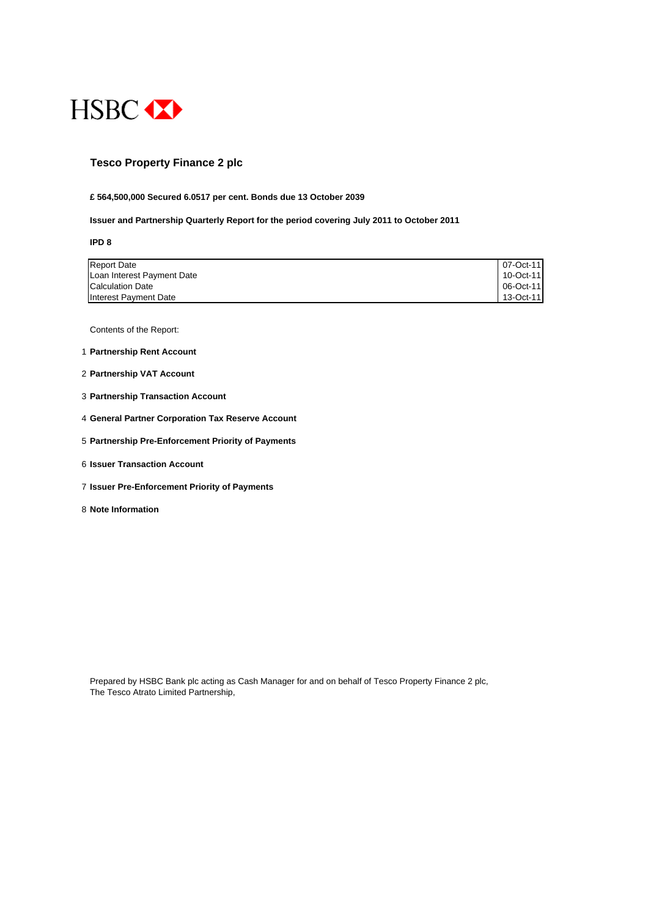

## **Tesco Property Finance 2 plc**

#### **£ 564,500,000 Secured 6.0517 per cent. Bonds due 13 October 2039**

#### **Issuer and Partnership Quarterly Report for the period covering July 2011 to October 2011**

**IPD 8**

| <b>Report Date</b>         | 07-Oct-11 |
|----------------------------|-----------|
| Loan Interest Payment Date | 10-Oct-11 |
| <b>Calculation Date</b>    | 06-Oct-11 |
| Interest Payment Date      | 13-Oct-11 |

Contents of the Report:

- 1 **Partnership Rent Account**
- 2 **Partnership VAT Account**
- 3 **Partnership Transaction Account**
- 4 **General Partner Corporation Tax Reserve Account**
- 5 **Partnership Pre-Enforcement Priority of Payments**
- 6 **Issuer Transaction Account**
- 7 **Issuer Pre-Enforcement Priority of Payments**
- 8 **Note Information**

Prepared by HSBC Bank plc acting as Cash Manager for and on behalf of Tesco Property Finance 2 plc, The Tesco Atrato Limited Partnership,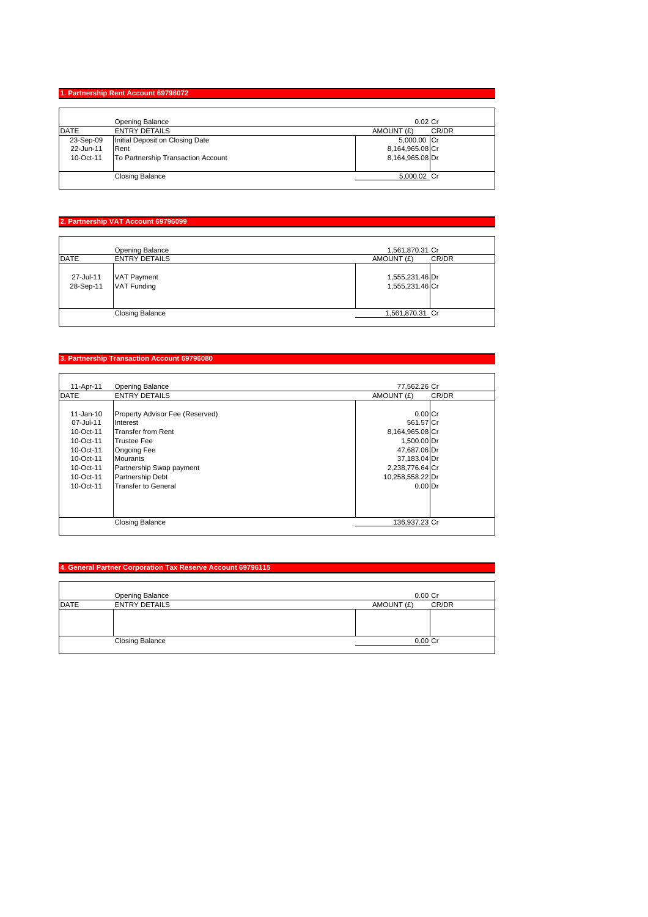### **1. Partnership Rent Account 69796072**

|             | Opening Balance                    | $0.02$ Cr           |
|-------------|------------------------------------|---------------------|
| <b>DATE</b> | <b>ENTRY DETAILS</b>               | CR/DR<br>AMOUNT (£) |
| 23-Sep-09   | Initial Deposit on Closing Date    | 5,000.00 Cr         |
| 22-Jun-11   | Rent                               | 8,164,965.08 Cr     |
| 10-Oct-11   | To Partnership Transaction Account | 8,164,965.08 Dr     |
|             | <b>Closing Balance</b>             | 5,000.02 Cr         |

# **2. Partnership VAT Account 69796099**

|                        | Opening Balance                          | 1,561,870.31 Cr                    |
|------------------------|------------------------------------------|------------------------------------|
| <b>DATE</b>            | <b>ENTRY DETAILS</b>                     | AMOUNT (£)<br>CR/DR                |
| 27-Jul-11<br>28-Sep-11 | <b>VAT Payment</b><br><b>VAT Funding</b> | 1,555,231.46 Dr<br>1,555,231.46 Cr |
|                        | <b>Closing Balance</b>                   | 1,561,870.31 Cr                    |

# **3. Partnership Transaction Account 69796080**

| 11-Apr-11   | <b>Opening Balance</b>          | 77,562.26 Cr     |       |
|-------------|---------------------------------|------------------|-------|
| <b>DATE</b> | <b>ENTRY DETAILS</b>            | AMOUNT (£)       | CR/DR |
|             |                                 |                  |       |
| 11-Jan-10   | Property Advisor Fee (Reserved) | $0.00$ Cr        |       |
| 07-Jul-11   | Interest                        | 561.57 Cr        |       |
| 10-Oct-11   | Transfer from Rent              | 8,164,965.08 Cr  |       |
| $10-Ort-11$ | <b>Trustee Fee</b>              | 1,500.00 Dr      |       |
| $10-Ort-11$ | <b>Ongoing Fee</b>              | 47,687.06 Dr     |       |
| 10-Oct-11   | <b>Mourants</b>                 | 37,183.04 Dr     |       |
| 10-Oct-11   | Partnership Swap payment        | 2,238,776.64 Cr  |       |
| 10-Oct-11   | <b>Partnership Debt</b>         | 10,258,558.22 Dr |       |
| $10-Ort-11$ | <b>Transfer to General</b>      | $0.00$ Dr        |       |
|             |                                 |                  |       |
|             |                                 |                  |       |
|             |                                 |                  |       |
|             | <b>Closing Balance</b>          | 136.937.23 Cr    |       |
|             |                                 |                  |       |

### **4. General Partner Corporation Tax Reserve Account 69796115**

|             | Opening Balance        | $0.00$ $Cr$ |       |
|-------------|------------------------|-------------|-------|
| <b>DATE</b> | <b>ENTRY DETAILS</b>   | AMOUNT (£)  | CR/DR |
|             |                        |             |       |
|             | <b>Closing Balance</b> | 0.00 Cr     |       |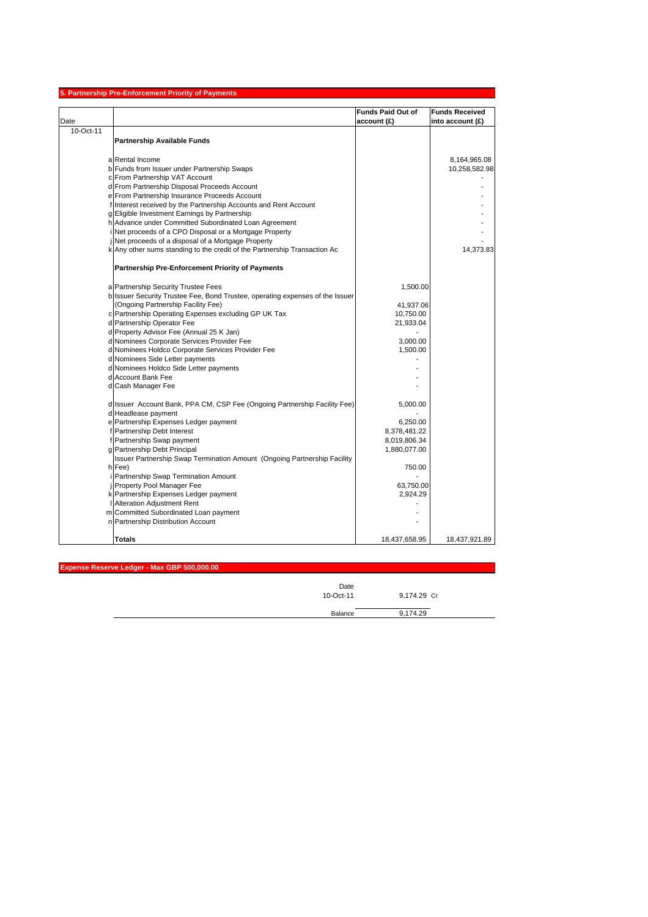|                                     | 5. Partnership Pre-Enforcement Priority of Payments                                                    |                          |                       |
|-------------------------------------|--------------------------------------------------------------------------------------------------------|--------------------------|-----------------------|
|                                     |                                                                                                        | <b>Funds Paid Out of</b> | <b>Funds Received</b> |
| Date                                |                                                                                                        | account(E)               | into account (£)      |
| 10-Oct-11                           |                                                                                                        |                          |                       |
| <b>Partnership Available Funds</b>  |                                                                                                        |                          |                       |
|                                     |                                                                                                        |                          |                       |
| a Rental Income                     |                                                                                                        |                          | 8,164,965.08          |
|                                     | b Funds from Issuer under Partnership Swaps                                                            |                          | 10,258,582.98         |
| c From Partnership VAT Account      |                                                                                                        |                          |                       |
|                                     | d From Partnership Disposal Proceeds Account                                                           |                          |                       |
|                                     | e From Partnership Insurance Proceeds Account                                                          |                          |                       |
|                                     | f Interest received by the Partnership Accounts and Rent Account                                       |                          |                       |
|                                     | g Eligible Investment Earnings by Partnership<br>h Advance under Committed Subordinated Loan Agreement |                          |                       |
|                                     | Net proceeds of a CPO Disposal or a Mortgage Property                                                  |                          |                       |
|                                     | Net proceeds of a disposal of a Mortgage Property                                                      |                          |                       |
|                                     | k Any other sums standing to the credit of the Partnership Transaction Ac                              |                          | 14,373.83             |
|                                     |                                                                                                        |                          |                       |
|                                     | <b>Partnership Pre-Enforcement Priority of Payments</b>                                                |                          |                       |
|                                     |                                                                                                        |                          |                       |
| a Partnership Security Trustee Fees |                                                                                                        | 1,500.00                 |                       |
|                                     | b Issuer Security Trustee Fee, Bond Trustee, operating expenses of the Issuer                          |                          |                       |
|                                     | (Ongoing Partnership Facility Fee)                                                                     | 41,937.06                |                       |
|                                     | c Partnership Operating Expenses excluding GP UK Tax                                                   | 10,750.00                |                       |
| d Partnership Operator Fee          |                                                                                                        | 21,933.04                |                       |
|                                     | d Property Advisor Fee (Annual 25 K Jan)<br>d Nominees Corporate Services Provider Fee                 | 3,000.00                 |                       |
|                                     | d Nominees Holdco Corporate Services Provider Fee                                                      | 1,500.00                 |                       |
| d Nominees Side Letter payments     |                                                                                                        |                          |                       |
|                                     | d Nominees Holdco Side Letter payments                                                                 |                          |                       |
| d Account Bank Fee                  |                                                                                                        |                          |                       |
| d Cash Manager Fee                  |                                                                                                        |                          |                       |
|                                     | d Issuer Account Bank, PPA CM, CSP Fee (Ongoing Partnership Facility Fee)                              | 5,000.00                 |                       |
| d Headlease payment                 |                                                                                                        |                          |                       |
|                                     | e Partnership Expenses Ledger payment                                                                  | 6,250.00                 |                       |
| f Partnership Debt Interest         |                                                                                                        | 8,378,481.22             |                       |
| f Partnership Swap payment          |                                                                                                        | 8,019,806.34             |                       |
| g Partnership Debt Principal        |                                                                                                        | 1,880,077.00             |                       |
|                                     | Issuer Partnership Swap Termination Amount (Ongoing Partnership Facility                               |                          |                       |
| h Fee)                              |                                                                                                        | 750.00                   |                       |
|                                     | Partnership Swap Termination Amount                                                                    |                          |                       |
| Property Pool Manager Fee           |                                                                                                        | 63,750.00                |                       |
|                                     | k Partnership Expenses Ledger payment                                                                  | 2,924.29                 |                       |
| Alteration Adjustment Rent          |                                                                                                        |                          |                       |
|                                     | m Committed Subordinated Loan payment                                                                  |                          |                       |
| n Partnership Distribution Account  |                                                                                                        |                          |                       |
| <b>Totals</b>                       |                                                                                                        | 18,437,658.95            | 18,437,921.89         |

**Expense Reserve Ledger - Max GBP 500,000.00**

| Date<br>10-Oct-11 | 9,174.29 Cr |  |
|-------------------|-------------|--|
| Balance           | 9,174.29    |  |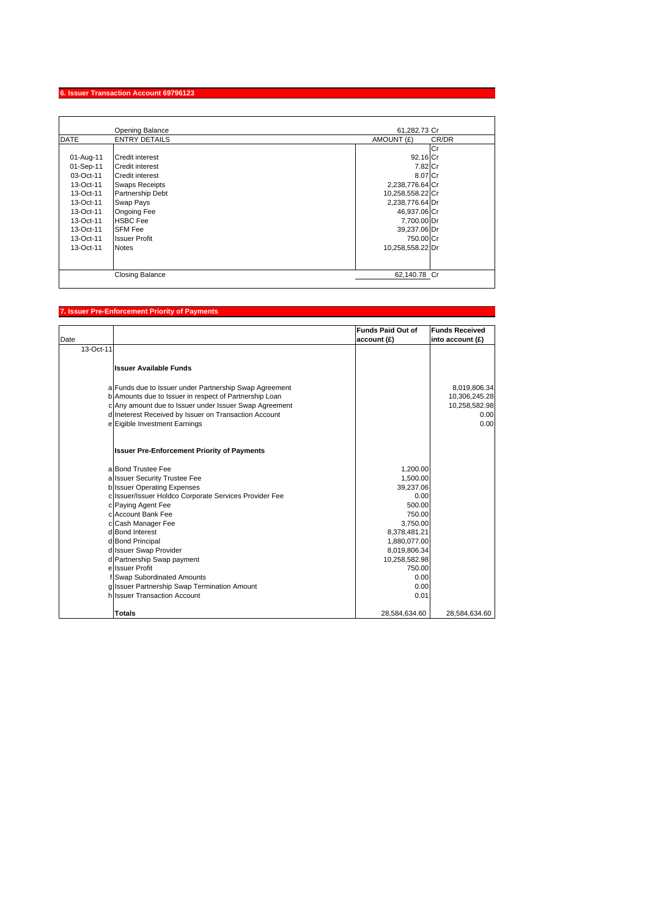# **6. Issuer Transaction Account 69796123**

|             | Opening Balance         | 61,282.73 Cr        |
|-------------|-------------------------|---------------------|
| <b>DATE</b> | <b>ENTRY DETAILS</b>    | AMOUNT (£)<br>CR/DR |
|             |                         | lCr                 |
| 01-Aug-11   | Credit interest         | 92.16 Cr            |
| 01-Sep-11   | Credit interest         | 7.82 Cr             |
| 03-Oct-11   | <b>Credit interest</b>  | 8.07 Cr             |
| 13-Oct-11   | <b>Swaps Receipts</b>   | 2,238,776.64 Cr     |
| 13-Oct-11   | <b>Partnership Debt</b> | 10,258,558.22 Cr    |
| 13-Oct-11   | Swap Pays               | 2,238,776.64 Dr     |
| 13-Oct-11   | Ongoing Fee             | 46,937.06 Cr        |
| 13-Oct-11   | <b>HSBC</b> Fee         | 7,700.00 Dr         |
| 13-Oct-11   | <b>SFM Fee</b>          | 39,237.06 Dr        |
| 13-Oct-11   | <b>Issuer Profit</b>    | 750.00 Cr           |
| 13-Oct-11   | <b>Notes</b>            | 10,258,558.22 Dr    |
|             |                         |                     |
|             |                         |                     |
|             | <b>Closing Balance</b>  | 62,140.78 Cr        |

# **7. Issuer Pre-Enforcement Priority of Payments**

|           |                                                                              | <b>Funds Paid Out of</b> | <b>Funds Received</b> |
|-----------|------------------------------------------------------------------------------|--------------------------|-----------------------|
| Date      |                                                                              | account (£)              | into account (£)      |
| 13-Oct-11 |                                                                              |                          |                       |
|           | <b>Issuer Available Funds</b>                                                |                          |                       |
|           | a Funds due to Issuer under Partnership Swap Agreement                       |                          | 8,019,806.34          |
|           | b Amounts due to Issuer in respect of Partnership Loan                       |                          | 10,306,245.28         |
|           | c Any amount due to Issuer under Issuer Swap Agreement                       |                          | 10,258,582.98         |
|           | d Ineterest Received by Issuer on Transaction Account                        |                          | 0.00                  |
|           | e Eigible Investment Earnings                                                |                          | 0.00                  |
|           | <b>Issuer Pre-Enforcement Priority of Payments</b>                           |                          |                       |
|           | a Bond Trustee Fee                                                           | 1,200.00                 |                       |
|           | a Issuer Security Trustee Fee                                                | 1,500.00                 |                       |
|           | <b>b</b> Issuer Operating Expenses                                           | 39,237.06                |                       |
|           | c Issuer/Issuer Holdco Corporate Services Provider Fee                       | 0.00                     |                       |
|           | c Paying Agent Fee                                                           | 500.00                   |                       |
|           | c Account Bank Fee                                                           | 750.00                   |                       |
|           | c Cash Manager Fee                                                           | 3,750.00                 |                       |
|           | d Bond Interest                                                              | 8,378,481.21             |                       |
|           | d Bond Principal                                                             | 1,880,077.00             |                       |
|           | d Issuer Swap Provider                                                       | 8,019,806.34             |                       |
|           | d Partnership Swap payment                                                   | 10,258,582.98            |                       |
|           | ellssuer Profit                                                              | 750.00                   |                       |
|           | f Swap Subordinated Amounts                                                  | 0.00                     |                       |
|           | g Issuer Partnership Swap Termination Amount<br>h Issuer Transaction Account | 0.00                     |                       |
|           |                                                                              | 0.01                     |                       |
|           | <b>Totals</b>                                                                | 28,584,634.60            | 28,584,634.60         |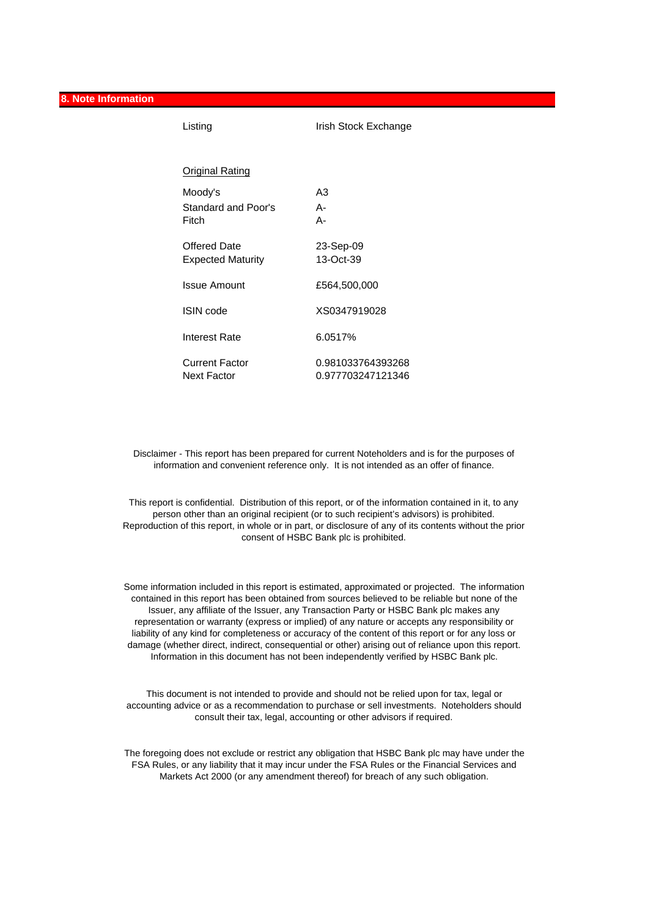**8. Note Information**

| Listing                                  | Irish Stock Exchange                   |
|------------------------------------------|----------------------------------------|
| <u> Original Rating</u>                  |                                        |
| Moody's<br>Standard and Poor's<br>Fitch  | A3<br>А-<br>А-                         |
| Offered Date<br><b>Expected Maturity</b> | 23-Sep-09<br>13-Oct-39                 |
| <b>Issue Amount</b>                      | £564,500,000                           |
| <b>ISIN</b> code                         | XS0347919028                           |
| Interest Rate                            | 6.0517%                                |
| Current Factor<br>Next Factor            | 0.981033764393268<br>0.977703247121346 |

Disclaimer - This report has been prepared for current Noteholders and is for the purposes of information and convenient reference only. It is not intended as an offer of finance.

This report is confidential. Distribution of this report, or of the information contained in it, to any person other than an original recipient (or to such recipient's advisors) is prohibited. Reproduction of this report, in whole or in part, or disclosure of any of its contents without the prior consent of HSBC Bank plc is prohibited.

Some information included in this report is estimated, approximated or projected. The information contained in this report has been obtained from sources believed to be reliable but none of the Issuer, any affiliate of the Issuer, any Transaction Party or HSBC Bank plc makes any representation or warranty (express or implied) of any nature or accepts any responsibility or liability of any kind for completeness or accuracy of the content of this report or for any loss or damage (whether direct, indirect, consequential or other) arising out of reliance upon this report. Information in this document has not been independently verified by HSBC Bank plc.

This document is not intended to provide and should not be relied upon for tax, legal or accounting advice or as a recommendation to purchase or sell investments. Noteholders should consult their tax, legal, accounting or other advisors if required.

The foregoing does not exclude or restrict any obligation that HSBC Bank plc may have under the FSA Rules, or any liability that it may incur under the FSA Rules or the Financial Services and Markets Act 2000 (or any amendment thereof) for breach of any such obligation.